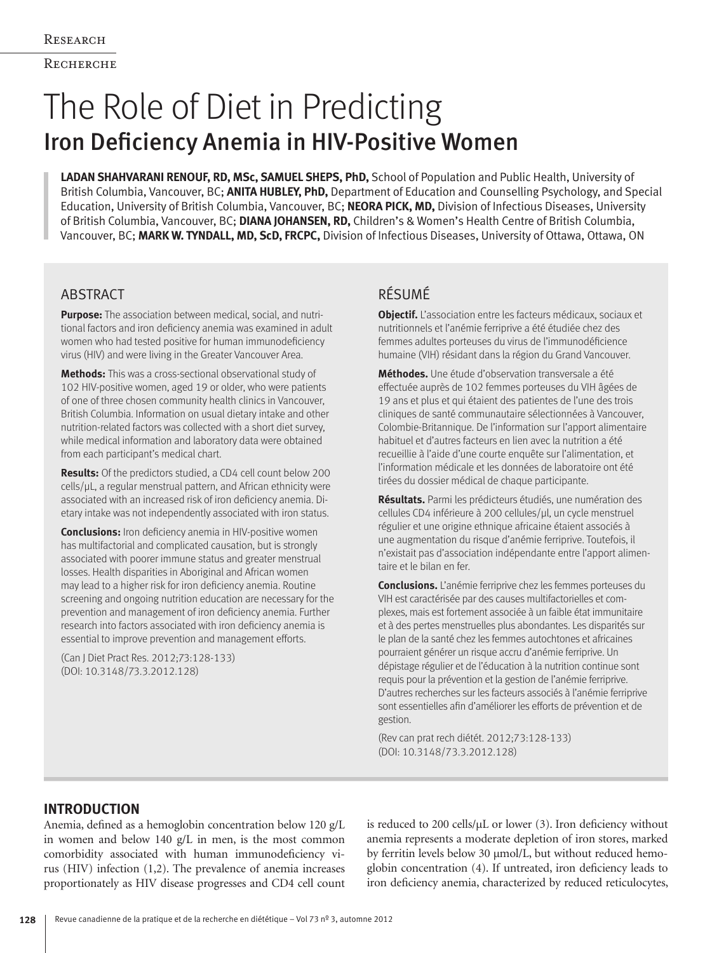# The Role of Diet in Predicting Iron Deficiency Anemia in HIV-Positive Women

**LADAN SHAHVARANI RENOUF, RD, MSc, SAMUEL SHEPS, PhD,** School of Population and Public Health, University of British Columbia, Vancouver, BC; **ANITA HUBLEY, PhD,** Department of Education and Counselling Psychology, and Special Education, University of British Columbia, Vancouver, BC; **NEORA PICK, MD,** Division of Infectious Diseases, University of British Columbia, Vancouver, BC; **DIANA JOHANSEN, RD,** Children's & Women's Health Centre of British Columbia, Vancouver, BC; **MARK W. TYNDALL, MD, ScD, FRCPC,** Division of Infectious Diseases, University of Ottawa, Ottawa, ON

# **ABSTRACT**

**Purpose:** The association between medical, social, and nutritional factors and iron deficiency anemia was examined in adult women who had tested positive for human immunodeficiency virus (HIV) and were living in the Greater Vancouver Area.

**Methods:** This was a cross-sectional observational study of 102 HIV-positive women, aged 19 or older, who were patients of one of three chosen community health clinics in Vancouver, British Columbia. Information on usual dietary intake and other nutrition-related factors was collected with a short diet survey, while medical information and laboratory data were obtained from each participant's medical chart.

**Results:** Of the predictors studied, a CD4 cell count below 200 cells/μL, a regular menstrual pattern, and African ethnicity were associated with an increased risk of iron deficiency anemia. Dietary intake was not independently associated with iron status.

**Conclusions:** Iron deficiency anemia in HIV-positive women has multifactorial and complicated causation, but is strongly associated with poorer immune status and greater menstrual losses. Health disparities in Aboriginal and African women may lead to a higher risk for iron deficiency anemia. Routine screening and ongoing nutrition education are necessary for the prevention and management of iron deficiency anemia. Further research into factors associated with iron deficiency anemia is essential to improve prevention and management efforts.

(Can J Diet Pract Res. 2012;73:128-133) (DOI: 10.3148/73.3.2012.128)

# Résumé

**Objectif.** L'association entre les facteurs médicaux, sociaux et nutritionnels et l'anémie ferriprive a été étudiée chez des femmes adultes porteuses du virus de l'immunodéficience humaine (VIH) résidant dans la région du Grand Vancouver.

**Méthodes.** Une étude d'observation transversale a été effectuée auprès de 102 femmes porteuses du VIH âgées de 19 ans et plus et qui étaient des patientes de l'une des trois cliniques de santé communautaire sélectionnées à Vancouver, Colombie-Britannique. De l'information sur l'apport alimentaire habituel et d'autres facteurs en lien avec la nutrition a été recueillie à l'aide d'une courte enquête sur l'alimentation, et l'information médicale et les données de laboratoire ont été tirées du dossier médical de chaque participante.

**Résultats.** Parmi les prédicteurs étudiés, une numération des cellules CD4 inférieure à 200 cellules/μl, un cycle menstruel régulier et une origine ethnique africaine étaient associés à une augmentation du risque d'anémie ferriprive. Toutefois, il n'existait pas d'association indépendante entre l'apport alimentaire et le bilan en fer.

**Conclusions.** L'anémie ferriprive chez les femmes porteuses du VIH est caractérisée par des causes multifactorielles et complexes, mais est fortement associée à un faible état immunitaire et à des pertes menstruelles plus abondantes. Les disparités sur le plan de la santé chez les femmes autochtones et africaines pourraient générer un risque accru d'anémie ferriprive. Un dépistage régulier et de l'éducation à la nutrition continue sont requis pour la prévention et la gestion de l'anémie ferriprive. D'autres recherches sur les facteurs associés à l'anémie ferriprive sont essentielles afin d'améliorer les efforts de prévention et de gestion.

(Rev can prat rech diétét. 2012;73:128-133) (DOI: 10.3148/73.3.2012.128)

# **Introduction**

Anemia, defined as a hemoglobin concentration below 120 g/L in women and below 140 g/L in men, is the most common comorbidity associated with human immunodeficiency virus (HIV) infection (1,2). The prevalence of anemia increases proportionately as HIV disease progresses and CD4 cell count is reduced to 200 cells/ $\mu$ L or lower (3). Iron deficiency without anemia represents a moderate depletion of iron stores, marked by ferritin levels below 30 µmol/L, but without reduced hemoglobin concentration (4). If untreated, iron deficiency leads to iron deficiency anemia, characterized by reduced reticulocytes,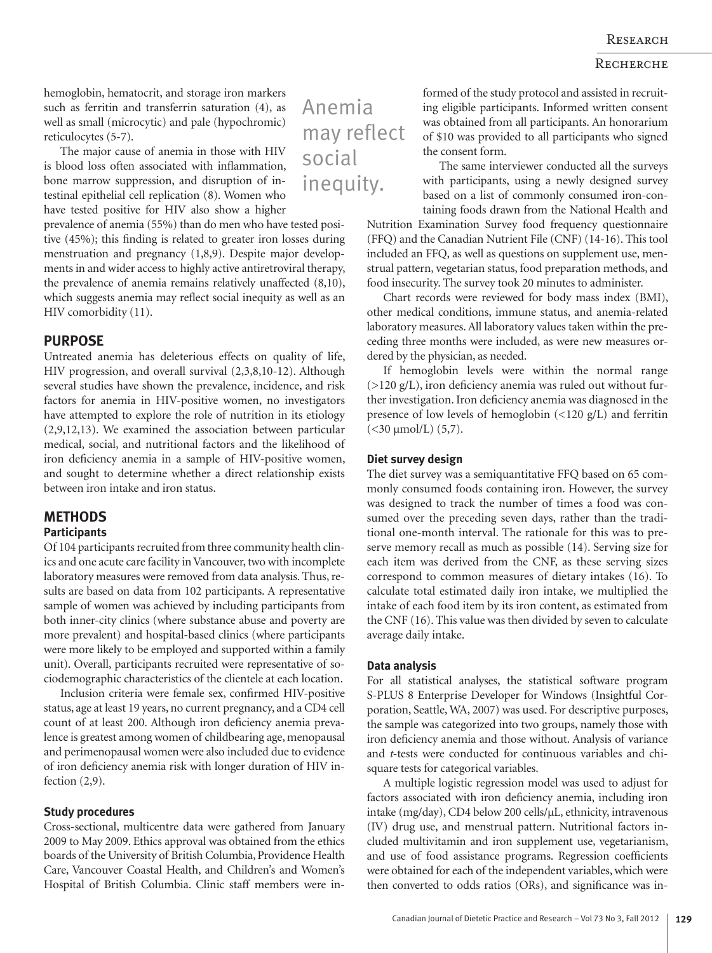fection (2,9). **Study procedures**  Cross-sectional, multicentre data were gathered from January

2009 to May 2009. Ethics approval was obtained from the ethics boards of the University of British Columbia, Providence Health Care, Vancouver Coastal Health, and Children's and Women's Hospital of British Columbia. Clinic staff members were in-

(2,9,12,13). We examined the association between particular medical, social, and nutritional factors and the likelihood of iron deficiency anemia in a sample of HIV-positive women, and sought to determine whether a direct relationship exists between iron intake and iron status.

**METHODS** 

# **Participants**

Of 104 participants recruited from three community health clinics and one acute care facility in Vancouver, two with incomplete laboratory measures were removed from data analysis. Thus, results are based on data from 102 participants. A representative sample of women was achieved by including participants from both inner-city clinics (where substance abuse and poverty are more prevalent) and hospital-based clinics (where participants were more likely to be employed and supported within a family unit). Overall, participants recruited were representative of sociodemographic characteristics of the clientele at each location.

Inclusion criteria were female sex, confirmed HIV-positive status, age at least 19 years, no current pregnancy, and a CD4 cell count of at least 200. Although iron deficiency anemia prevalence is greatest among women of childbearing age, menopausal and perimenopausal women were also included due to evidence of iron deficiency anemia risk with longer duration of HIV in-

# **PURPOSE**

which suggests anemia may reflect social inequity as well as an HIV comorbidity (11). Untreated anemia has deleterious effects on quality of life, HIV progression, and overall survival (2,3,8,10-12). Although several studies have shown the prevalence, incidence, and risk factors for anemia in HIV-positive women, no investigators have attempted to explore the role of nutrition in its etiology

The major cause of anemia in those with HIV bone marrow suppression, and disruption of intestinal epithelial cell replication (8). Women who

have tested positive for HIV also show a higher

well as small (microcytic) and pale (hypochromic) reticulocytes (5-7). is blood loss often associated with inflammation,

hemoglobin, hematocrit, and storage iron markers

prevalence of anemia (55%) than do men who have tested positive (45%); this finding is related to greater iron losses during menstruation and pregnancy (1,8,9). Despite major developments in and wider access to highly active antiretroviral therapy, the prevalence of anemia remains relatively unaffected (8,10),

such as ferritin and transferrin saturation (4), as Anemia

may reflect social inequity.

formed of the study protocol and assisted in recruiting eligible participants. Informed written consent was obtained from all participants. An honorarium of \$10 was provided to all participants who signed the consent form.

The same interviewer conducted all the surveys with participants, using a newly designed survey based on a list of commonly consumed iron-containing foods drawn from the National Health and

Nutrition Examination Survey food frequency questionnaire (FFQ) and the Canadian Nutrient File (CNF) (14-16). This tool included an FFQ, as well as questions on supplement use, menstrual pattern, vegetarian status, food preparation methods, and food insecurity. The survey took 20 minutes to administer.

Chart records were reviewed for body mass index (BMI), other medical conditions, immune status, and anemia-related laboratory measures. All laboratory values taken within the preceding three months were included, as were new measures ordered by the physician, as needed.

If hemoglobin levels were within the normal range (>120 g/L), iron deficiency anemia was ruled out without further investigation. Iron deficiency anemia was diagnosed in the presence of low levels of hemoglobin (<120 g/L) and ferritin  $(<30 \mu$ mol/L $)(5,7)$ .

# **Diet survey design**

The diet survey was a semiquantitative FFQ based on 65 commonly consumed foods containing iron. However, the survey was designed to track the number of times a food was consumed over the preceding seven days, rather than the traditional one-month interval. The rationale for this was to preserve memory recall as much as possible (14). Serving size for each item was derived from the CNF, as these serving sizes correspond to common measures of dietary intakes (16). To calculate total estimated daily iron intake, we multiplied the intake of each food item by its iron content, as estimated from the CNF (16). This value was then divided by seven to calculate average daily intake.

## **Data analysis**

For all statistical analyses, the statistical software program S-PLUS 8 Enterprise Developer for Windows (Insightful Corporation, Seattle, WA, 2007) was used. For descriptive purposes, the sample was categorized into two groups, namely those with iron deficiency anemia and those without. Analysis of variance and *t*-tests were conducted for continuous variables and chisquare tests for categorical variables.

A multiple logistic regression model was used to adjust for factors associated with iron deficiency anemia, including iron intake (mg/day), CD4 below 200 cells/µL, ethnicity, intravenous (IV) drug use, and menstrual pattern. Nutritional factors included multivitamin and iron supplement use, vegetarianism, and use of food assistance programs. Regression coefficients were obtained for each of the independent variables, which were then converted to odds ratios (ORs), and significance was in-

## **RECHERCHE**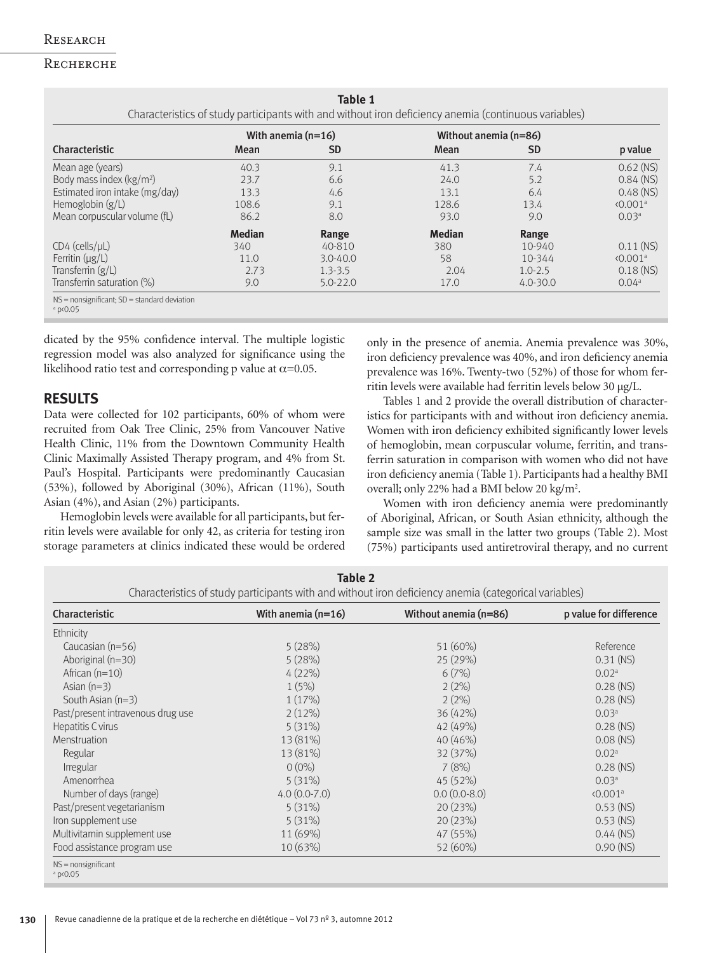|                                | With anemia $(n=16)$ |              | Without anemia (n=86) |              |                   |
|--------------------------------|----------------------|--------------|-----------------------|--------------|-------------------|
| Characteristic                 | Mean                 | <b>SD</b>    | Mean                  | <b>SD</b>    | p value           |
| Mean age (years)               | 40.3                 | 9.1          | 41.3                  | 7.4          | $0.62$ (NS)       |
| Body mass index $(kg/m2)$      | 23.7                 | 6.6          | 24.0                  | 5.2          | $0.84$ (NS)       |
| Estimated iron intake (mg/day) | 13.3                 | 4.6          | 13.1                  | 6.4          | $0.48$ (NS)       |
| Hemoglobin $(g/L)$             | 108.6                | 9.1          | 128.6                 | 13.4         | $\langle 0.001^a$ |
| Mean corpuscular volume (fL)   | 86.2                 | 8.0          | 93.0                  | 9.0          | 0.03 <sup>a</sup> |
|                                | <b>Median</b>        | Range        | <b>Median</b>         | Range        |                   |
| $CD4$ (cells/ $\mu$ L)         | 340                  | 40-810       | 380                   | 10-940       | $0.11$ (NS)       |
| Ferritin $(\mu g/L)$           | 11.0                 | $3.0 - 40.0$ | 58                    | 10-344       | $\langle 0.001^a$ |
| Transferrin (g/L)              | 2.73                 | $1.3 - 3.5$  | 2.04                  | $1.0 - 2.5$  | $0.18$ (NS)       |
| Transferrin saturation (%)     | 9.0                  | $5.0 - 22.0$ | 17.0                  | $4.0 - 30.0$ | 0.04 <sup>a</sup> |

 $a$  p<0.05

dicated by the 95% confidence interval. The multiple logistic regression model was also analyzed for significance using the likelihood ratio test and corresponding p value at  $\alpha$ =0.05.

# **RESULTS**

Data were collected for 102 participants, 60% of whom were recruited from Oak Tree Clinic, 25% from Vancouver Native Health Clinic, 11% from the Downtown Community Health Clinic Maximally Assisted Therapy program, and 4% from St. Paul's Hospital. Participants were predominantly Caucasian (53%), followed by Aboriginal (30%), African (11%), South Asian (4%), and Asian (2%) participants.

Hemoglobin levels were available for all participants, but ferritin levels were available for only 42, as criteria for testing iron storage parameters at clinics indicated these would be ordered

only in the presence of anemia. Anemia prevalence was 30%, iron deficiency prevalence was 40%, and iron deficiency anemia prevalence was 16%. Twenty-two (52%) of those for whom ferritin levels were available had ferritin levels below 30 µg/L.

Tables 1 and 2 provide the overall distribution of characteristics for participants with and without iron deficiency anemia. Women with iron deficiency exhibited significantly lower levels of hemoglobin, mean corpuscular volume, ferritin, and transferrin saturation in comparison with women who did not have iron deficiency anemia (Table 1). Participants had a healthy BMI overall; only 22% had a BMI below 20 kg/m<sup>2</sup>.

Women with iron deficiency anemia were predominantly of Aboriginal, African, or South Asian ethnicity, although the sample size was small in the latter two groups (Table 2). Most (75%) participants used antiretroviral therapy, and no current

| Characteristic                    | With anemia $(n=16)$ | Without anemia (n=86) | p value for difference |
|-----------------------------------|----------------------|-----------------------|------------------------|
| Ethnicity                         |                      |                       |                        |
| Caucasian (n=56)                  | 5(28%)               | 51 (60%)              | Reference              |
| Aboriginal (n=30)                 | 5(28%)               | 25(29%)               | $0.31$ (NS)            |
| African $(n=10)$                  | 4(22%)               | 6(7%)                 | 0.02 <sup>a</sup>      |
| Asian $(n=3)$                     | 1(5%)                | 2(2%)                 | $0.28$ (NS)            |
| South Asian $(n=3)$               | 1(17%)               | 2(2%)                 | $0.28$ (NS)            |
| Past/present intravenous drug use | 2(12%)               | 36(42%)               | 0.03 <sup>a</sup>      |
| Hepatitis C virus                 | 5(31%)               | 42 (49%)              | $0.28$ (NS)            |
| Menstruation                      | 13 (81%)             | 40(46%)               | $0.08$ (NS)            |
| Regular                           | 13 (81%)             | 32 (37%)              | 0.02 <sup>a</sup>      |
| <i><u><b>Irregular</b></u></i>    | $0(0\%)$             | 7(8%)                 | $0.28$ (NS)            |
| Amenorrhea                        | 5(31%)               | 45 (52%)              | 0.03 <sup>a</sup>      |
| Number of days (range)            | $4.0(0.0-7.0)$       | $0.0(0.0-8.0)$        | $\langle 0.001^a$      |
| Past/present vegetarianism        | 5(31%)               | 20(23%)               | $0.53$ (NS)            |
| Iron supplement use               | 5(31%)               | 20(23%)               | $0.53$ (NS)            |
| Multivitamin supplement use       | 11 (69%)             | 47 (55%)              | $0.44$ (NS)            |
| Food assistance program use       | 10 (63%)             | 52 (60%)              | $0.90$ (NS)            |

**Table 2**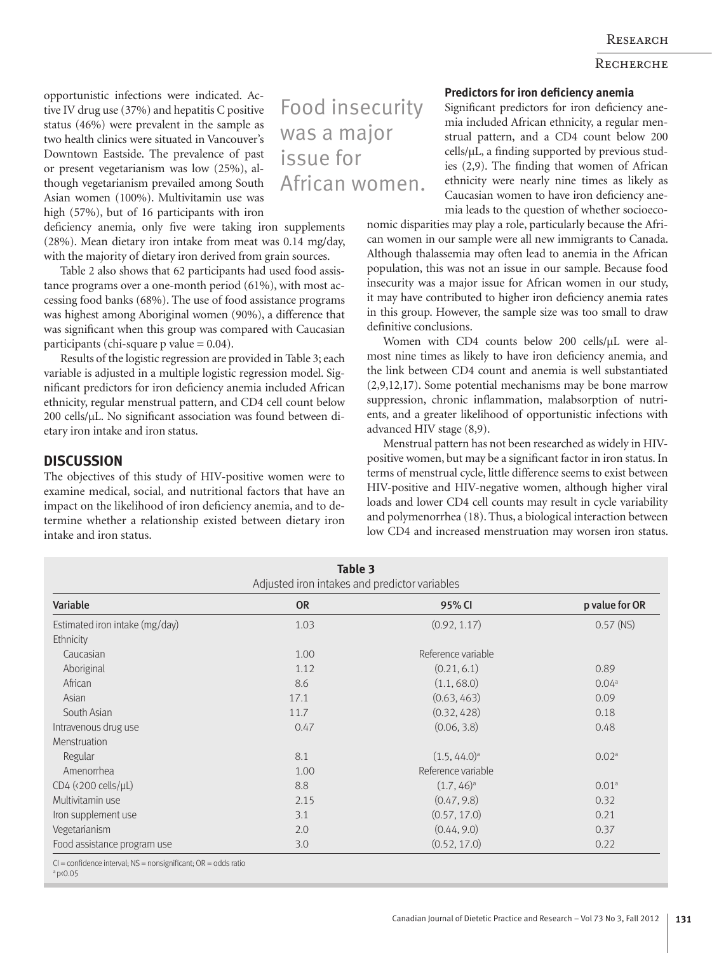opportunistic infections were indicated. Active IV drug use (37%) and hepatitis C positive status (46%) were prevalent in the sample as two health clinics were situated in Vancouver's Downtown Eastside. The prevalence of past or present vegetarianism was low (25%), although vegetarianism prevailed among South Asian women (100%). Multivitamin use was high (57%), but of 16 participants with iron

deficiency anemia, only five were taking iron supplements (28%). Mean dietary iron intake from meat was 0.14 mg/day, with the majority of dietary iron derived from grain sources.

Table 2 also shows that 62 participants had used food assistance programs over a one-month period (61%), with most accessing food banks (68%). The use of food assistance programs was highest among Aboriginal women (90%), a difference that was significant when this group was compared with Caucasian participants (chi-square p value  $= 0.04$ ).

Results of the logistic regression are provided in Table 3; each variable is adjusted in a multiple logistic regression model. Significant predictors for iron deficiency anemia included African ethnicity, regular menstrual pattern, and CD4 cell count below 200 cells/µL. No significant association was found between dietary iron intake and iron status.

#### **DISCUSSION**

The objectives of this study of HIV-positive women were to examine medical, social, and nutritional factors that have an impact on the likelihood of iron deficiency anemia, and to determine whether a relationship existed between dietary iron intake and iron status.

Food insecurity was a major issue for African women.

#### **Predictors for iron deficiency anemia**

Significant predictors for iron deficiency anemia included African ethnicity, a regular menstrual pattern, and a CD4 count below 200  $cells/µL$ , a finding supported by previous studies (2,9). The finding that women of African ethnicity were nearly nine times as likely as Caucasian women to have iron deficiency anemia leads to the question of whether socioeco-

nomic disparities may play a role, particularly because the African women in our sample were all new immigrants to Canada. Although thalassemia may often lead to anemia in the African population, this was not an issue in our sample. Because food insecurity was a major issue for African women in our study, it may have contributed to higher iron deficiency anemia rates in this group. However, the sample size was too small to draw definitive conclusions.

Women with CD4 counts below 200 cells/µL were almost nine times as likely to have iron deficiency anemia, and the link between CD4 count and anemia is well substantiated (2,9,12,17). Some potential mechanisms may be bone marrow suppression, chronic inflammation, malabsorption of nutrients, and a greater likelihood of opportunistic infections with advanced HIV stage (8,9).

Menstrual pattern has not been researched as widely in HIVpositive women, but may be a significant factor in iron status. In terms of menstrual cycle, little difference seems to exist between HIV-positive and HIV-negative women, although higher viral loads and lower CD4 cell counts may result in cycle variability and polymenorrhea (18). Thus, a biological interaction between low CD4 and increased menstruation may worsen iron status.

| Table 3<br>Adjusted iron intakes and predictor variables |           |                            |                   |  |  |  |
|----------------------------------------------------------|-----------|----------------------------|-------------------|--|--|--|
| Variable                                                 | <b>OR</b> | 95% CI                     | p value for OR    |  |  |  |
| Estimated iron intake (mg/day)                           | 1.03      | (0.92, 1.17)               | $0.57$ (NS)       |  |  |  |
| Ethnicity                                                |           |                            |                   |  |  |  |
| Caucasian                                                | 1.00      | Reference variable         |                   |  |  |  |
| Aboriginal                                               | 1.12      | (0.21, 6.1)                | 0.89              |  |  |  |
| African                                                  | 8.6       | (1.1, 68.0)                | 0.04 <sup>a</sup> |  |  |  |
| Asian                                                    | 17.1      | (0.63, 463)                | 0.09              |  |  |  |
| South Asian                                              | 11.7      | (0.32, 428)                | 0.18              |  |  |  |
| Intravenous drug use                                     | 0.47      | (0.06, 3.8)                | 0.48              |  |  |  |
| Menstruation                                             |           |                            |                   |  |  |  |
| Regular                                                  | 8.1       | $(1.5, 44.0)$ <sup>a</sup> | 0.02 <sup>a</sup> |  |  |  |
| Amenorrhea                                               | 1.00      | Reference variable         |                   |  |  |  |
| $CD4$ (<200 cells/ $\mu$ L)                              | 8.8       | $(1.7, 46)^a$              | 0.01 <sup>a</sup> |  |  |  |
| Multivitamin use                                         | 2.15      | (0.47, 9.8)                | 0.32              |  |  |  |
| Iron supplement use                                      | 3.1       | (0.57, 17.0)               | 0.21              |  |  |  |
| Vegetarianism                                            | 2.0       | (0.44, 9.0)                | 0.37              |  |  |  |
| Food assistance program use                              | 3.0       | (0.52, 17.0)               | 0.22              |  |  |  |

 $Cl =$  confidence interval;  $NS =$  nonsignificant;  $OR =$  odds ratio

 $a$  p<0.05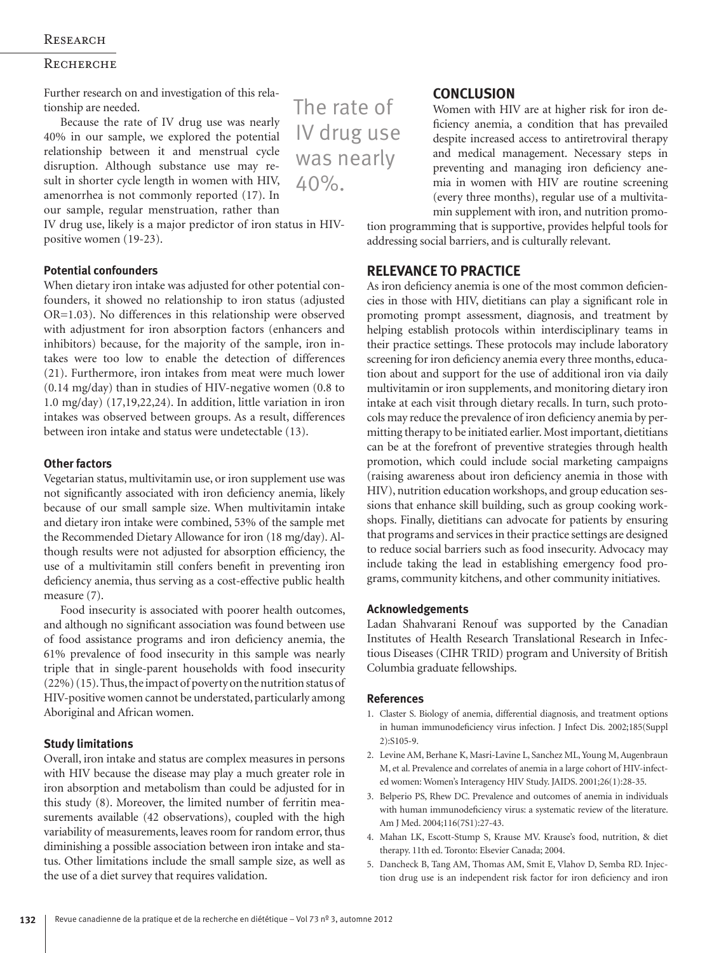Further research on and investigation of this relationship are needed.

Because the rate of IV drug use was nearly 40% in our sample, we explored the potential relationship between it and menstrual cycle disruption. Although substance use may result in shorter cycle length in women with HIV, amenorrhea is not commonly reported (17). In our sample, regular menstruation, rather than

IV drug use, likely is a major predictor of iron status in HIVpositive women (19-23).

### **Potential confounders**

When dietary iron intake was adjusted for other potential confounders, it showed no relationship to iron status (adjusted OR=1.03). No differences in this relationship were observed with adjustment for iron absorption factors (enhancers and inhibitors) because, for the majority of the sample, iron intakes were too low to enable the detection of differences (21). Furthermore, iron intakes from meat were much lower (0.14 mg/day) than in studies of HIV-negative women (0.8 to 1.0 mg/day) (17,19,22,24). In addition, little variation in iron intakes was observed between groups. As a result, differences between iron intake and status were undetectable (13).

#### **Other factors**

Vegetarian status, multivitamin use, or iron supplement use was not significantly associated with iron deficiency anemia, likely because of our small sample size. When multivitamin intake and dietary iron intake were combined, 53% of the sample met the Recommended Dietary Allowance for iron (18 mg/day). Although results were not adjusted for absorption efficiency, the use of a multivitamin still confers benefit in preventing iron deficiency anemia, thus serving as a cost-effective public health measure (7).

Food insecurity is associated with poorer health outcomes, and although no significant association was found between use of food assistance programs and iron deficiency anemia, the 61% prevalence of food insecurity in this sample was nearly triple that in single-parent households with food insecurity (22%) (15). Thus, the impact of poverty on the nutrition status of HIV-positive women cannot be understated, particularly among Aboriginal and African women.

#### **Study limitations**

Overall, iron intake and status are complex measures in persons with HIV because the disease may play a much greater role in iron absorption and metabolism than could be adjusted for in this study (8). Moreover, the limited number of ferritin measurements available (42 observations), coupled with the high variability of measurements, leaves room for random error, thus diminishing a possible association between iron intake and status. Other limitations include the small sample size, as well as the use of a diet survey that requires validation.

The rate of IV drug use was nearly  $40%$ .

#### **CONCLUSION**

Women with HIV are at higher risk for iron deficiency anemia, a condition that has prevailed despite increased access to antiretroviral therapy and medical management. Necessary steps in preventing and managing iron deficiency anemia in women with HIV are routine screening (every three months), regular use of a multivitamin supplement with iron, and nutrition promo-

tion programming that is supportive, provides helpful tools for addressing social barriers, and is culturally relevant.

# **RELEVANCE TO PRACTICE**

As iron deficiency anemia is one of the most common deficiencies in those with HIV, dietitians can play a significant role in promoting prompt assessment, diagnosis, and treatment by helping establish protocols within interdisciplinary teams in their practice settings. These protocols may include laboratory screening for iron deficiency anemia every three months, education about and support for the use of additional iron via daily multivitamin or iron supplements, and monitoring dietary iron intake at each visit through dietary recalls. In turn, such protocols may reduce the prevalence of iron deficiency anemia by permitting therapy to be initiated earlier. Most important, dietitians can be at the forefront of preventive strategies through health promotion, which could include social marketing campaigns (raising awareness about iron deficiency anemia in those with HIV), nutrition education workshops, and group education sessions that enhance skill building, such as group cooking workshops. Finally, dietitians can advocate for patients by ensuring that programs and services in their practice settings are designed to reduce social barriers such as food insecurity. Advocacy may include taking the lead in establishing emergency food programs, community kitchens, and other community initiatives.

#### **Acknowledgements**

Ladan Shahvarani Renouf was supported by the Canadian Institutes of Health Research Translational Research in Infectious Diseases (CIHR TRID) program and University of British Columbia graduate fellowships.

#### **References**

- 1. Claster S. Biology of anemia, differential diagnosis, and treatment options in human immunodeficiency virus infection. J Infect Dis. 2002;185(Suppl 2):S105-9.
- 2. Levine AM, Berhane K, Masri-Lavine L, Sanchez ML, Young M, Augenbraun M, et al. Prevalence and correlates of anemia in a large cohort of HIV-infected women: Women's Interagency HIV Study. JAIDS. 2001;26(1):28-35.
- 3. Belperio PS, Rhew DC. Prevalence and outcomes of anemia in individuals with human immunodeficiency virus: a systematic review of the literature. Am J Med. 2004;116(7S1):27-43.
- 4. Mahan LK, Escott-Stump S, Krause MV. Krause's food, nutrition, & diet therapy. 11th ed. Toronto: Elsevier Canada; 2004.
- 5. Dancheck B, Tang AM, Thomas AM, Smit E, Vlahov D, Semba RD. Injection drug use is an independent risk factor for iron deficiency and iron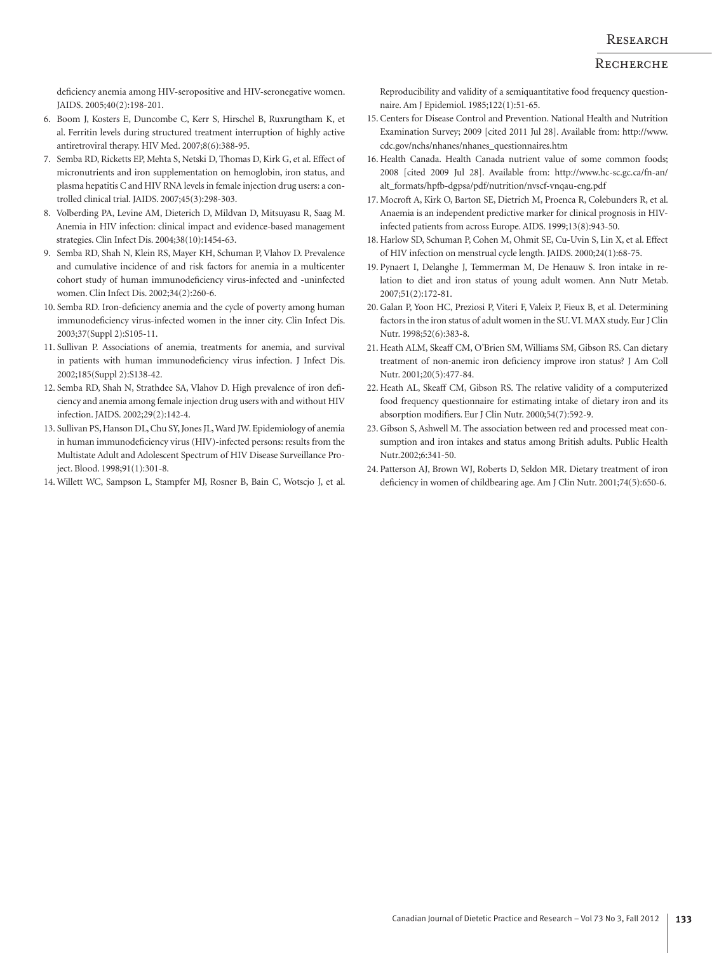deficiency anemia among HIV-seropositive and HIV-seronegative women. JAIDS. 2005;40(2):198-201.

- 6. Boom J, Kosters E, Duncombe C, Kerr S, Hirschel B, Ruxrungtham K, et al. Ferritin levels during structured treatment interruption of highly active antiretroviral therapy. HIV Med. 2007;8(6):388-95.
- 7. Semba RD, Ricketts EP, Mehta S, Netski D, Thomas D, Kirk G, et al. Effect of micronutrients and iron supplementation on hemoglobin, iron status, and plasma hepatitis C and HIV RNA levels in female injection drug users: a controlled clinical trial. JAIDS. 2007;45(3):298-303.
- 8. Volberding PA, Levine AM, Dieterich D, Mildvan D, Mitsuyasu R, Saag M. Anemia in HIV infection: clinical impact and evidence-based management strategies. Clin Infect Dis. 2004;38(10):1454-63.
- 9. Semba RD, Shah N, Klein RS, Mayer KH, Schuman P, Vlahov D. Prevalence and cumulative incidence of and risk factors for anemia in a multicenter cohort study of human immunodeficiency virus-infected and -uninfected women. Clin Infect Dis. 2002;34(2):260-6.
- 10. Semba RD. Iron-deficiency anemia and the cycle of poverty among human immunodeficiency virus-infected women in the inner city. Clin Infect Dis. 2003;37(Suppl 2):S105-11.
- 11. Sullivan P. Associations of anemia, treatments for anemia, and survival in patients with human immunodeficiency virus infection. J Infect Dis. 2002;185(Suppl 2):S138-42.
- 12. Semba RD, Shah N, Strathdee SA, Vlahov D. High prevalence of iron deficiency and anemia among female injection drug users with and without HIV infection. JAIDS. 2002;29(2):142-4.
- 13. Sullivan PS, Hanson DL, Chu SY, Jones JL, Ward JW. Epidemiology of anemia in human immunodeficiency virus (HIV)-infected persons: results from the Multistate Adult and Adolescent Spectrum of HIV Disease Surveillance Project. Blood. 1998;91(1):301-8.
- 14. Willett WC, Sampson L, Stampfer MJ, Rosner B, Bain C, Wotscjo J, et al.

Reproducibility and validity of a semiquantitative food frequency questionnaire. Am J Epidemiol. 1985;122(1):51-65.

- 15. Centers for Disease Control and Prevention. National Health and Nutrition Examination Survey; 2009 [cited 2011 Jul 28]. Available from: http://www. cdc.gov/nchs/nhanes/nhanes\_questionnaires.htm
- 16. Health Canada. Health Canada nutrient value of some common foods; 2008 [cited 2009 Jul 28]. Available from: http://www.hc-sc.gc.ca/fn-an/ alt\_formats/hpfb-dgpsa/pdf/nutrition/nvscf-vnqau-eng.pdf
- 17. Mocroft A, Kirk O, Barton SE, Dietrich M, Proenca R, Colebunders R, et al. Anaemia is an independent predictive marker for clinical prognosis in HIVinfected patients from across Europe. AIDS. 1999;13(8):943-50.
- 18. Harlow SD, Schuman P, Cohen M, Ohmit SE, Cu-Uvin S, Lin X, et al. Effect of HIV infection on menstrual cycle length. JAIDS. 2000;24(1):68-75.
- 19. Pynaert I, Delanghe J, Temmerman M, De Henauw S. Iron intake in relation to diet and iron status of young adult women. Ann Nutr Metab. 2007;51(2):172-81.
- 20. Galan P, Yoon HC, Preziosi P, Viteri F, Valeix P, Fieux B, et al. Determining factors in the iron status of adult women in the SU. VI. MAX study. Eur J Clin Nutr. 1998;52(6):383-8.
- 21. Heath ALM, Skeaff CM, O'Brien SM, Williams SM, Gibson RS. Can dietary treatment of non-anemic iron deficiency improve iron status? J Am Coll Nutr. 2001;20(5):477-84.
- 22. Heath AL, Skeaff CM, Gibson RS. The relative validity of a computerized food frequency questionnaire for estimating intake of dietary iron and its absorption modifiers. Eur J Clin Nutr. 2000;54(7):592-9.
- 23. Gibson S, Ashwell M. The association between red and processed meat consumption and iron intakes and status among British adults. Public Health Nutr.2002;6:341-50.
- 24. Patterson AJ, Brown WJ, Roberts D, Seldon MR. Dietary treatment of iron deficiency in women of childbearing age. Am J Clin Nutr. 2001;74(5):650-6.